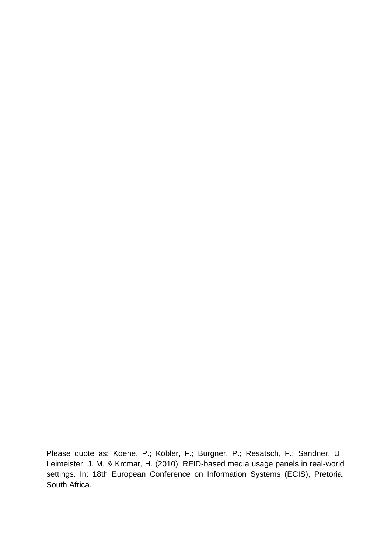Please quote as: Koene, P.; Köbler, F.; Burgner, P.; Resatsch, F.; Sandner, U.; Leimeister, J. M. & Krcmar, H. (2010): RFID-based media usage panels in real-world settings. In: 18th European Conference on Information Systems (ECIS), Pretoria, South Africa.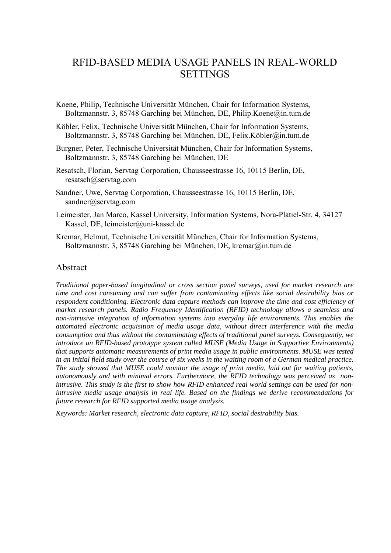# RFID-BASED MEDIA USAGE PANELS IN REAL-WORLD SETTINGS

- Koene, Philip, Technische Universität München, Chair for Information Systems, Boltzmannstr. 3, 85748 Garching bei München, DE, Philip.Koene@in.tum.de
- Köbler, Felix, Technische Universität München, Chair for Information Systems, Boltzmannstr. 3, 85748 Garching bei München, DE, Felix.Köbler@in.tum.de
- Burgner, Peter, Technische Universität München, Chair for Information Systems, Boltzmannstr. 3, 85748 Garching bei München, DE
- Resatsch, Florian, Servtag Corporation, Chausseestrasse 16, 10115 Berlin, DE, resatsch@servtag.com
- Sandner, Uwe, Servtag Corporation, Chausseestrasse 16, 10115 Berlin, DE, sandner@servtag.com
- Leimeister, Jan Marco, Kassel University, Information Systems, Nora-Platiel-Str. 4, 34127 Kassel, DE, leimeister@uni-kassel.de
- Krcmar, Helmut, Technische Universität München, Chair for Information Systems, Boltzmannstr. 3, 85748 Garching bei München, DE, krcmar@in.tum.de

#### Abstract

*Traditional paper-based longitudinal or cross section panel surveys, used for market research are time and cost consuming and can suffer from contaminating effects like social desirability bias or respondent conditioning. Electronic data capture methods can improve the time and cost efficiency of market research panels. Radio Frequency Identification (RFID) technology allows a seamless and non-intrusive integration of information systems into everyday life environments. This enables the automated electronic acquisition of media usage data, without direct interference with the media consumption and thus without the contaminating effects of traditional panel surveys. Consequently, we introduce an RFID-based prototype system called MUSE (Media Usage in Supportive Environments) that supports automatic measurements of print media usage in public environments. MUSE was tested in an initial field study over the course of six weeks in the waiting room of a German medical practice. The study showed that MUSE could monitor the usage of print media, laid out for waiting patients, autonomously and with minimal errors. Furthermore, the RFID technology was perceived as nonintrusive. This study is the first to show how RFID enhanced real world settings can be used for nonintrusive media usage analysis in real life. Based on the findings we derive recommendations for future research for RFID supported media usage analysis.* 

*Keywords: Market research, electronic data capture, RFID, social desirability bias.*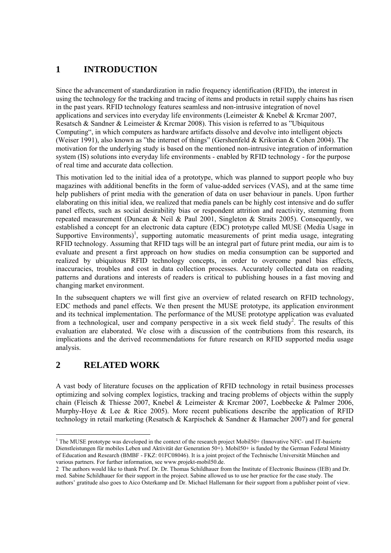# **1 INTRODUCTION**

Since the advancement of standardization in radio frequency identification (RFID), the interest in using the technology for the tracking and tracing of items and products in retail supply chains has risen in the past years. RFID technology features seamless and non-intrusive integration of novel applications and services into everyday life environments (Leimeister & Knebel & Krcmar 2007, Resatsch & Sandner & Leimeister & Krcmar 2008). This vision is referred to as "Ubiquitous Computing", in which computers as hardware artifacts dissolve and devolve into intelligent objects (Weiser 1991), also known as "the internet of things" (Gershenfeld & Krikorian & Cohen 2004). The motivation for the underlying study is based on the mentioned non-intrusive integration of information system (IS) solutions into everyday life environments - enabled by RFID technology - for the purpose of real time and accurate data collection.

This motivation led to the initial idea of a prototype, which was planned to support people who buy magazines with additional benefits in the form of value-added services (VAS), and at the same time help publishers of print media with the generation of data on user behaviour in panels. Upon further elaborating on this initial idea, we realized that media panels can be highly cost intensive and do suffer panel effects, such as social desirability bias or respondent attrition and reactivity, stemming from repeated measurement (Duncan & Neil & Paul 2001, Singleton & Straits 2005). Consequently, we established a concept for an electronic data capture (EDC) prototype called MUSE (Media Usage in Supportive Environments)<sup>1</sup>, supporting automatic measurements of print media usage, integrating RFID technology. Assuming that RFID tags will be an integral part of future print media, our aim is to evaluate and present a first approach on how studies on media consumption can be supported and realized by ubiquitous RFID technology concepts, in order to overcome panel bias effects, inaccuracies, troubles and cost in data collection processes. Accurately collected data on reading patterns and durations and interests of readers is critical to publishing houses in a fast moving and changing market environment.

In the subsequent chapters we will first give an overview of related research on RFID technology, EDC methods and panel effects. We then present the MUSE prototype, its application environment and its technical implementation. The performance of the MUSE prototype application was evaluated from a technological, user and company perspective in a six week field study<sup>2</sup>. The results of this evaluation are elaborated. We close with a discussion of the contributions from this research, its implications and the derived recommendations for future research on RFID supported media usage analysis.

## **2 RELATED WORK**

 $\overline{a}$ 

A vast body of literature focuses on the application of RFID technology in retail business processes optimizing and solving complex logistics, tracking and tracing problems of objects within the supply chain (Fleisch & Thiesse 2007, Knebel & Leimeister & Krcmar 2007, Loebbecke & Palmer 2006, Murphy-Hoye & Lee & Rice 2005). More recent publications describe the application of RFID technology in retail marketing (Resatsch & Karpischek & Sandner & Hamacher 2007) and for general

<sup>&</sup>lt;sup>1</sup> The MUSE prototype was developed in the context of the research project Mobil50+ (Innovative NFC- und IT-basierte Dienstleistungen für mobiles Leben und Aktivität der Generation 50+). Mobil50+ is funded by the German Federal Ministry of Education and Research (BMBF - FKZ: 01FC08046). It is a joint project of the Technische Universität München and various partners. For further information, see www.projekt-mobil50.de.

<sup>2</sup> The authors would like to thank Prof. Dr. Dr. Thomas Schildhauer from the Institute of Electronic Business (IEB) and Dr. med. Sabine Schildhauer for their support in the project. Sabine allowed us to use her practice for the case study. The authors' gratitude also goes to Aico Osterkamp and Dr. Michael Hallemann for their support from a publisher point of view.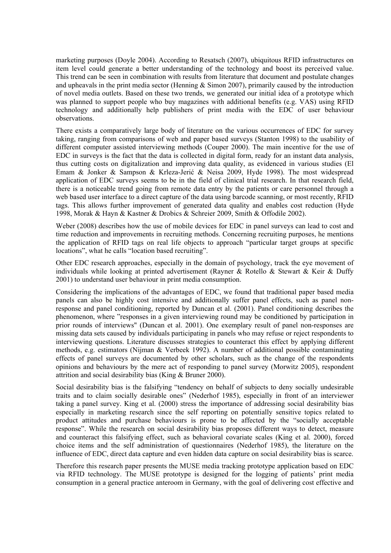marketing purposes (Doyle 2004). According to Resatsch (2007), ubiquitous RFID infrastructures on item level could generate a better understanding of the technology and boost its perceived value. This trend can be seen in combination with results from literature that document and postulate changes and upheavals in the print media sector (Henning  $&$  Simon 2007), primarily caused by the introduction of novel media outlets. Based on these two trends, we generated our initial idea of a prototype which was planned to support people who buy magazines with additional benefits (e.g. VAS) using RFID technology and additionally help publishers of print media with the EDC of user behaviour observations.

There exists a comparatively large body of literature on the various occurrences of EDC for survey taking, ranging from comparisons of web and paper based surveys (Stanton 1998) to the usability of different computer assisted interviewing methods (Couper 2000). The main incentive for the use of EDC in surveys is the fact that the data is collected in digital form, ready for an instant data analysis, thus cutting costs on digitalization and improving data quality, as evidenced in various studies (El Emam & Jonker & Sampson & Krleza-Jerić & Neisa 2009, Hyde 1998). The most widespread application of EDC surveys seems to be in the field of clinical trial research. In that research field, there is a noticeable trend going from remote data entry by the patients or care personnel through a web based user interface to a direct capture of the data using barcode scanning, or most recently, RFID tags. This allows further improvement of generated data quality and enables cost reduction (Hyde 1998, Morak & Hayn & Kastner & Drobics & Schreier 2009, Smith & Offodile 2002).

Weber (2008) describes how the use of mobile devices for EDC in panel surveys can lead to cost and time reduction and improvements in recruiting methods. Concerning recruiting purposes, he mentions the application of RFID tags on real life objects to approach "particular target groups at specific locations", what he calls "location based recruiting".

Other EDC research approaches, especially in the domain of psychology, track the eye movement of individuals while looking at printed advertisement (Rayner & Rotello & Stewart & Keir & Duffy 2001) to understand user behaviour in print media consumption.

Considering the implications of the advantages of EDC, we found that traditional paper based media panels can also be highly cost intensive and additionally suffer panel effects, such as panel nonresponse and panel conditioning, reported by Duncan et al. (2001). Panel conditioning describes the phenomenon, where "responses in a given interviewing round may be conditioned by participation in prior rounds of interviews" (Duncan et al. 2001). One exemplary result of panel non-responses are missing data sets caused by individuals participating in panels who may refuse or reject respondents to interviewing questions. Literature discusses strategies to counteract this effect by applying different methods, e.g. estimators (Nijman & Verbeek 1992). A number of additional possible contaminating effects of panel surveys are documented by other scholars, such as the change of the respondents opinions and behaviours by the mere act of responding to panel survey (Morwitz 2005), respondent attrition and social desirability bias (King & Bruner 2000).

Social desirability bias is the falsifying "tendency on behalf of subjects to deny socially undesirable traits and to claim socially desirable ones" (Nederhof 1985), especially in front of an interviewer taking a panel survey. King et al. (2000) stress the importance of addressing social desirability bias especially in marketing research since the self reporting on potentially sensitive topics related to product attitudes and purchase behaviours is prone to be affected by the "socially acceptable response". While the research on social desirability bias proposes different ways to detect, measure and counteract this falsifying effect, such as behavioral covariate scales (King et al. 2000), forced choice items and the self administration of questionnaires (Nederhof 1985), the literature on the influence of EDC, direct data capture and even hidden data capture on social desirability bias is scarce.

Therefore this research paper presents the MUSE media tracking prototype application based on EDC via RFID technology. The MUSE prototype is designed for the logging of patients' print media consumption in a general practice anteroom in Germany, with the goal of delivering cost effective and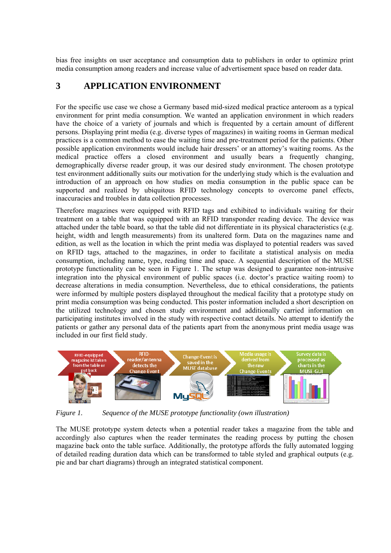bias free insights on user acceptance and consumption data to publishers in order to optimize print media consumption among readers and increase value of advertisement space based on reader data.

### **3 APPLICATION ENVIRONMENT**

For the specific use case we chose a Germany based mid-sized medical practice anteroom as a typical environment for print media consumption. We wanted an application environment in which readers have the choice of a variety of journals and which is frequented by a certain amount of different persons. Displaying print media (e.g. diverse types of magazines) in waiting rooms in German medical practices is a common method to ease the waiting time and pre-treatment period for the patients. Other possible application environments would include hair dressers' or an attorney's waiting rooms. As the medical practice offers a closed environment and usually bears a frequently changing, demographically diverse reader group, it was our desired study environment. The chosen prototype test environment additionally suits our motivation for the underlying study which is the evaluation and introduction of an approach on how studies on media consumption in the public space can be supported and realized by ubiquitous RFID technology concepts to overcome panel effects, inaccuracies and troubles in data collection processes.

Therefore magazines were equipped with RFID tags and exhibited to individuals waiting for their treatment on a table that was equipped with an RFID transponder reading device. The device was attached under the table board, so that the table did not differentiate in its physical characteristics (e.g. height, width and length measurements) from its unaltered form. Data on the magazines name and edition, as well as the location in which the print media was displayed to potential readers was saved on RFID tags, attached to the magazines, in order to facilitate a statistical analysis on media consumption, including name, type, reading time and space. A sequential description of the MUSE prototype functionality can be seen in Figure 1. The setup was designed to guarantee non-intrusive integration into the physical environment of public spaces (i.e. doctor's practice waiting room) to decrease alterations in media consumption. Nevertheless, due to ethical considerations, the patients were informed by multiple posters displayed throughout the medical facility that a prototype study on print media consumption was being conducted. This poster information included a short description on the utilized technology and chosen study environment and additionally carried information on participating institutes involved in the study with respective contact details. No attempt to identify the patients or gather any personal data of the patients apart from the anonymous print media usage was included in our first field study.



*Figure 1. Sequence of the MUSE prototype functionality (own illustration)* 

The MUSE prototype system detects when a potential reader takes a magazine from the table and accordingly also captures when the reader terminates the reading process by putting the chosen magazine back onto the table surface. Additionally, the prototype affords the fully automated logging of detailed reading duration data which can be transformed to table styled and graphical outputs (e.g. pie and bar chart diagrams) through an integrated statistical component.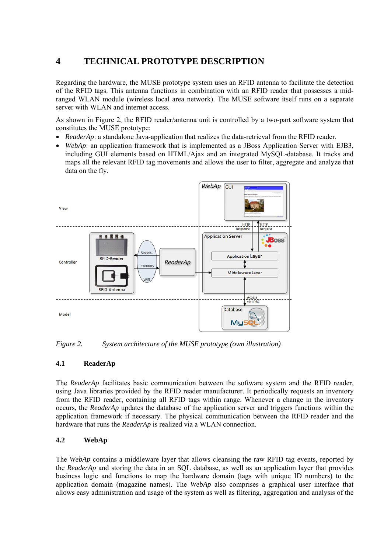# **4 TECHNICAL PROTOTYPE DESCRIPTION**

Regarding the hardware, the MUSE prototype system uses an RFID antenna to facilitate the detection of the RFID tags. This antenna functions in combination with an RFID reader that possesses a midranged WLAN module (wireless local area network). The MUSE software itself runs on a separate server with WLAN and internet access.

As shown in Figure 2, the RFID reader/antenna unit is controlled by a two-part software system that constitutes the MUSE prototype:

- *ReaderAp*: a standalone Java-application that realizes the data-retrieval from the RFID reader.
- *WebAp*: an application framework that is implemented as a JBoss Application Server with EJB3, including GUI elements based on HTML/Ajax and an integrated MySQL-database. It tracks and maps all the relevant RFID tag movements and allows the user to filter, aggregate and analyze that data on the fly.



*Figure 2. System architecture of the MUSE prototype (own illustration)* 

#### **4.1 ReaderAp**

The *ReaderAp* facilitates basic communication between the software system and the RFID reader, using Java libraries provided by the RFID reader manufacturer. It periodically requests an inventory from the RFID reader, containing all RFID tags within range. Whenever a change in the inventory occurs, the *ReaderAp* updates the database of the application server and triggers functions within the application framework if necessary. The physical communication between the RFID reader and the hardware that runs the *ReaderAp* is realized via a WLAN connection.

#### **4.2 WebAp**

The *WebAp* contains a middleware layer that allows cleansing the raw RFID tag events, reported by the *ReaderAp* and storing the data in an SQL database, as well as an application layer that provides business logic and functions to map the hardware domain (tags with unique ID numbers) to the application domain (magazine names). The *WebAp* also comprises a graphical user interface that allows easy administration and usage of the system as well as filtering, aggregation and analysis of the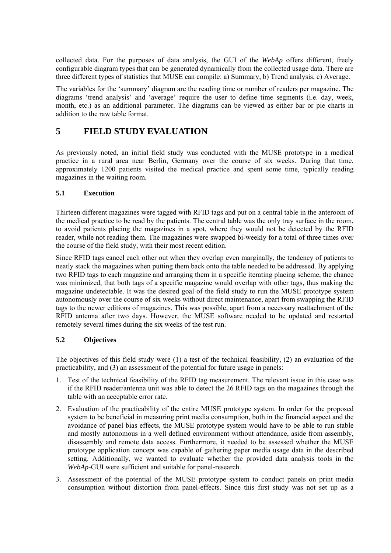collected data. For the purposes of data analysis, the GUI of the *WebAp* offers different, freely configurable diagram types that can be generated dynamically from the collected usage data. There are three different types of statistics that MUSE can compile: a) Summary, b) Trend analysis, c) Average.

The variables for the 'summary' diagram are the reading time or number of readers per magazine. The diagrams 'trend analysis' and 'average' require the user to define time segments (i.e. day, week, month, etc.) as an additional parameter. The diagrams can be viewed as either bar or pie charts in addition to the raw table format.

## **5 FIELD STUDY EVALUATION**

As previously noted, an initial field study was conducted with the MUSE prototype in a medical practice in a rural area near Berlin, Germany over the course of six weeks. During that time, approximately 1200 patients visited the medical practice and spent some time, typically reading magazines in the waiting room.

#### **5.1 Execution**

Thirteen different magazines were tagged with RFID tags and put on a central table in the anteroom of the medical practice to be read by the patients. The central table was the only tray surface in the room, to avoid patients placing the magazines in a spot, where they would not be detected by the RFID reader, while not reading them. The magazines were swapped bi-weekly for a total of three times over the course of the field study, with their most recent edition.

Since RFID tags cancel each other out when they overlap even marginally, the tendency of patients to neatly stack the magazines when putting them back onto the table needed to be addressed. By applying two RFID tags to each magazine and arranging them in a specific iterating placing scheme, the chance was minimized, that both tags of a specific magazine would overlap with other tags, thus making the magazine undetectable. It was the desired goal of the field study to run the MUSE prototype system autonomously over the course of six weeks without direct maintenance, apart from swapping the RFID tags to the newer editions of magazines. This was possible, apart from a necessary reattachment of the RFID antenna after two days. However, the MUSE software needed to be updated and restarted remotely several times during the six weeks of the test run.

#### **5.2 Objectives**

The objectives of this field study were (1) a test of the technical feasibility, (2) an evaluation of the practicability, and (3) an assessment of the potential for future usage in panels:

- 1. Test of the technical feasibility of the RFID tag measurement. The relevant issue in this case was if the RFID reader/antenna unit was able to detect the 26 RFID tags on the magazines through the table with an acceptable error rate.
- 2. Evaluation of the practicability of the entire MUSE prototype system. In order for the proposed system to be beneficial in measuring print media consumption, both in the financial aspect and the avoidance of panel bias effects, the MUSE prototype system would have to be able to run stable and mostly autonomous in a well defined environment without attendance, aside from assembly, disassembly and remote data access. Furthermore, it needed to be assessed whether the MUSE prototype application concept was capable of gathering paper media usage data in the described setting. Additionally, we wanted to evaluate whether the provided data analysis tools in the *WebAp*-GUI were sufficient and suitable for panel-research.
- 3. Assessment of the potential of the MUSE prototype system to conduct panels on print media consumption without distortion from panel-effects. Since this first study was not set up as a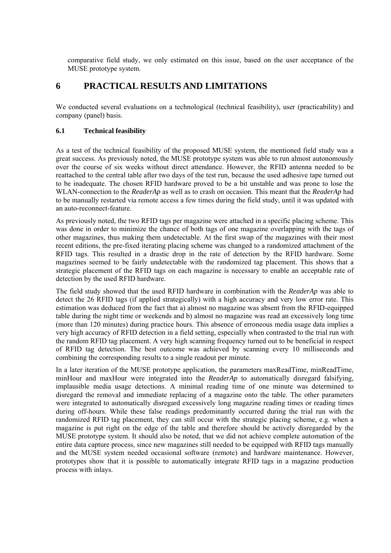comparative field study, we only estimated on this issue, based on the user acceptance of the MUSE prototype system.

### **6 PRACTICAL RESULTS AND LIMITATIONS**

We conducted several evaluations on a technological (technical feasibility), user (practicability) and company (panel) basis.

#### **6.1 Technical feasibility**

As a test of the technical feasibility of the proposed MUSE system, the mentioned field study was a great success. As previously noted, the MUSE prototype system was able to run almost autonomously over the course of six weeks without direct attendance. However, the RFID antenna needed to be reattached to the central table after two days of the test run, because the used adhesive tape turned out to be inadequate. The chosen RFID hardware proved to be a bit unstable and was prone to lose the WLAN-connection to the *ReaderAp* as well as to crash on occasion. This meant that the *ReaderAp* had to be manually restarted via remote access a few times during the field study, until it was updated with an auto-reconnect-feature.

As previously noted, the two RFID tags per magazine were attached in a specific placing scheme. This was done in order to minimize the chance of both tags of one magazine overlapping with the tags of other magazines, thus making them undetectable. At the first swap of the magazines with their most recent editions, the pre-fixed iterating placing scheme was changed to a randomized attachment of the RFID tags. This resulted in a drastic drop in the rate of detection by the RFID hardware. Some magazines seemed to be fairly undetectable with the randomized tag placement. This shows that a strategic placement of the RFID tags on each magazine is necessary to enable an acceptable rate of detection by the used RFID hardware.

The field study showed that the used RFID hardware in combination with the *ReaderAp* was able to detect the 26 RFID tags (if applied strategically) with a high accuracy and very low error rate. This estimation was deduced from the fact that a) almost no magazine was absent from the RFID-equipped table during the night time or weekends and b) almost no magazine was read an excessively long time (more than 120 minutes) during practice hours. This absence of erroneous media usage data implies a very high accuracy of RFID detection in a field setting, especially when contrasted to the trial run with the random RFID tag placement. A very high scanning frequency turned out to be beneficial in respect of RFID tag detection. The best outcome was achieved by scanning every 10 milliseconds and combining the corresponding results to a single readout per minute.

In a later iteration of the MUSE prototype application, the parameters maxReadTime, minReadTime, minHour and maxHour were integrated into the *ReaderAp* to automatically disregard falsifying, implausible media usage detections. A minimal reading time of one minute was determined to disregard the removal and immediate replacing of a magazine onto the table. The other parameters were integrated to automatically disregard excessively long magazine reading times or reading times during off-hours. While these false readings predominantly occurred during the trial run with the randomized RFID tag placement, they can still occur with the strategic placing scheme, e.g. when a magazine is put right on the edge of the table and therefore should be actively disregarded by the MUSE prototype system. It should also be noted, that we did not achieve complete automation of the entire data capture process, since new magazines still needed to be equipped with RFID tags manually and the MUSE system needed occasional software (remote) and hardware maintenance. However, prototypes show that it is possible to automatically integrate RFID tags in a magazine production process with inlays.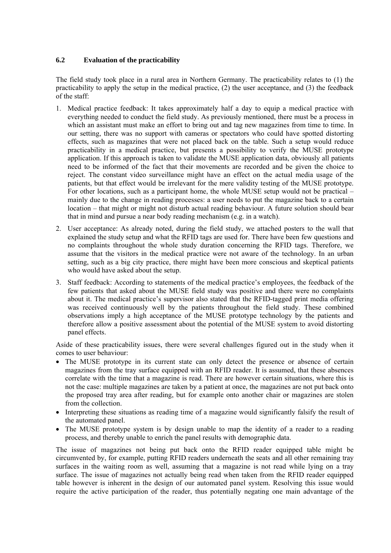#### **6.2 Evaluation of the practicability**

The field study took place in a rural area in Northern Germany. The practicability relates to (1) the practicability to apply the setup in the medical practice, (2) the user acceptance, and (3) the feedback of the staff:

- 1. Medical practice feedback: It takes approximately half a day to equip a medical practice with everything needed to conduct the field study. As previously mentioned, there must be a process in which an assistant must make an effort to bring out and tag new magazines from time to time. In our setting, there was no support with cameras or spectators who could have spotted distorting effects, such as magazines that were not placed back on the table. Such a setup would reduce practicability in a medical practice, but presents a possibility to verify the MUSE prototype application. If this approach is taken to validate the MUSE application data, obviously all patients need to be informed of the fact that their movements are recorded and be given the choice to reject. The constant video surveillance might have an effect on the actual media usage of the patients, but that effect would be irrelevant for the mere validity testing of the MUSE prototype. For other locations, such as a participant home, the whole MUSE setup would not be practical – mainly due to the change in reading processes: a user needs to put the magazine back to a certain location – that might or might not disturb actual reading behaviour. A future solution should bear that in mind and pursue a near body reading mechanism (e.g. in a watch).
- 2. User acceptance: As already noted, during the field study, we attached posters to the wall that explained the study setup and what the RFID tags are used for. There have been few questions and no complaints throughout the whole study duration concerning the RFID tags. Therefore, we assume that the visitors in the medical practice were not aware of the technology. In an urban setting, such as a big city practice, there might have been more conscious and skeptical patients who would have asked about the setup.
- 3. Staff feedback: According to statements of the medical practice's employees, the feedback of the few patients that asked about the MUSE field study was positive and there were no complaints about it. The medical practice's supervisor also stated that the RFID-tagged print media offering was received continuously well by the patients throughout the field study. These combined observations imply a high acceptance of the MUSE prototype technology by the patients and therefore allow a positive assessment about the potential of the MUSE system to avoid distorting panel effects.

Aside of these practicability issues, there were several challenges figured out in the study when it comes to user behaviour:

- The MUSE prototype in its current state can only detect the presence or absence of certain magazines from the tray surface equipped with an RFID reader. It is assumed, that these absences correlate with the time that a magazine is read. There are however certain situations, where this is not the case: multiple magazines are taken by a patient at once, the magazines are not put back onto the proposed tray area after reading, but for example onto another chair or magazines are stolen from the collection.
- Interpreting these situations as reading time of a magazine would significantly falsify the result of the automated panel.
- The MUSE prototype system is by design unable to map the identity of a reader to a reading process, and thereby unable to enrich the panel results with demographic data.

The issue of magazines not being put back onto the RFID reader equipped table might be circumvented by, for example, putting RFID readers underneath the seats and all other remaining tray surfaces in the waiting room as well, assuming that a magazine is not read while lying on a tray surface. The issue of magazines not actually being read when taken from the RFID reader equipped table however is inherent in the design of our automated panel system. Resolving this issue would require the active participation of the reader, thus potentially negating one main advantage of the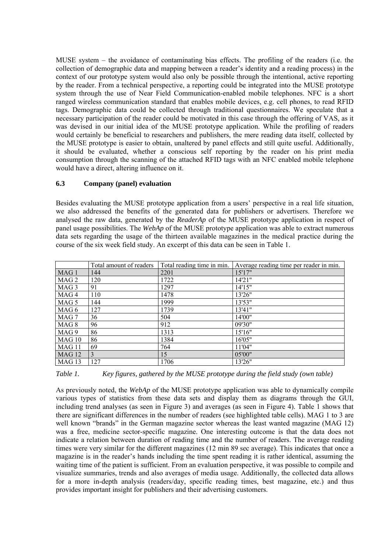MUSE system – the avoidance of contaminating bias effects. The profiling of the readers (i.e. the collection of demographic data and mapping between a reader's identity and a reading process) in the context of our prototype system would also only be possible through the intentional, active reporting by the reader. From a technical perspective, a reporting could be integrated into the MUSE prototype system through the use of Near Field Communication-enabled mobile telephones. NFC is a short ranged wireless communication standard that enables mobile devices, e.g. cell phones, to read RFID tags. Demographic data could be collected through traditional questionnaires. We speculate that a necessary participation of the reader could be motivated in this case through the offering of VAS, as it was devised in our initial idea of the MUSE prototype application. While the profiling of readers would certainly be beneficial to researchers and publishers, the mere reading data itself, collected by the MUSE prototype is easier to obtain, unaltered by panel effects and still quite useful. Additionally, it should be evaluated, whether a conscious self reporting by the reader on his print media consumption through the scanning of the attached RFID tags with an NFC enabled mobile telephone would have a direct, altering influence on it.

#### **6.3 Company (panel) evaluation**

Besides evaluating the MUSE prototype application from a users' perspective in a real life situation, we also addressed the benefits of the generated data for publishers or advertisers. Therefore we analysed the raw data, generated by the *ReaderAp* of the MUSE prototype application in respect of panel usage possibilities. The *WebAp* of the MUSE prototype application was able to extract numerous data sets regarding the usage of the thirteen available magazines in the medical practice during the course of the six week field study. An excerpt of this data can be seen in Table 1.

|                   | Total amount of readers | Total reading time in min. | Average reading time per reader in min. |
|-------------------|-------------------------|----------------------------|-----------------------------------------|
| MAG <sub>1</sub>  | 144                     | 2201                       | 15'17"                                  |
| MAG 2             | 120                     | 1722                       | 14'21''                                 |
| MAG 3             | 91                      | 1297                       | 14'15"                                  |
| MAG 4             | 110                     | 1478                       | 13'26"                                  |
| MAG 5             | 144                     | 1999                       | 13'53"                                  |
| MAG 6             | 127                     | 1739                       | 13'41"                                  |
| MAG 7             | 36                      | 504                        | 14'00"                                  |
| MAG 8             | 96                      | 912                        | 09'30"                                  |
| MAG 9             | 86                      | 1313                       | 15'16"                                  |
| MAG 10            | 86                      | 1384                       | 16'05"                                  |
| MAG <sub>11</sub> | 69                      | 764                        | 11'04"                                  |
| MAG 12            | $\overline{3}$          | 15                         | 05'00"                                  |
| MAG <sub>13</sub> | 127                     | 1706                       | 13'26"                                  |

*Table 1. Key figures, gathered by the MUSE prototype during the field study (own table)* 

As previously noted, the *WebAp* of the MUSE prototype application was able to dynamically compile various types of statistics from these data sets and display them as diagrams through the GUI, including trend analyses (as seen in Figure 3) and averages (as seen in Figure 4). Table 1 shows that there are significant differences in the number of readers (see highlighted table cells). MAG 1 to 3 are well known "brands" in the German magazine sector whereas the least wanted magazine (MAG 12) was a free, medicine sector-specific magazine. One interesting outcome is that the data does not indicate a relation between duration of reading time and the number of readers. The average reading times were very similar for the different magazines (12 min 89 sec average). This indicates that once a magazine is in the reader's hands including the time spent reading it is rather identical, assuming the waiting time of the patient is sufficient. From an evaluation perspective, it was possible to compile and visualize summaries, trends and also averages of media usage. Additionally, the collected data allows for a more in-depth analysis (readers/day, specific reading times, best magazine, etc.) and thus provides important insight for publishers and their advertising customers.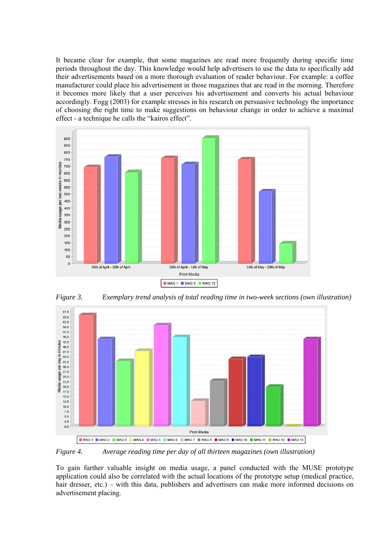It became clear for example, that some magazines are read more frequently during specific time periods throughout the day. This knowledge would help advertisers to use the data to specifically add their advertisements based on a more thorough evaluation of reader behaviour. For example: a coffee manufacturer could place his advertisement in those magazines that are read in the morning. Therefore it becomes more likely that a user perceives his advertisement and converts his actual behaviour accordingly. Fogg (2003) for example stresses in his research on persuasive technology the importance of choosing the right time to make suggestions on behaviour change in order to achieve a maximal effect - a technique he calls the "kairos effect".



*Figure 3. Exemplary trend analysis of total reading time in two-week sections (own illustration)* 



*Figure 4. Average reading time per day of all thirteen magazines (own illustration)* 

To gain further valuable insight on media usage, a panel conducted with the MUSE prototype application could also be correlated with the actual locations of the prototype setup (medical practice, hair dresser, etc.) – with this data, publishers and advertisers can make more informed decisions on advertisement placing.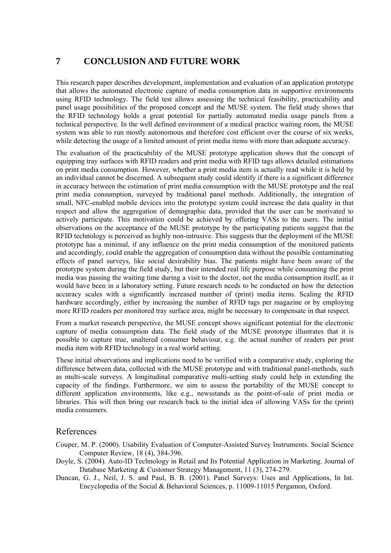## **7 CONCLUSION AND FUTURE WORK**

This research paper describes development, implementation and evaluation of an application prototype that allows the automated electronic capture of media consumption data in supportive environments using RFID technology. The field test allows assessing the technical feasibility, practicability and panel usage possibilities of the proposed concept and the MUSE system. The field study shows that the RFID technology holds a great potential for partially automated media usage panels from a technical perspective. In the well defined environment of a medical practice waiting room, the MUSE system was able to run mostly autonomous and therefore cost efficient over the course of six weeks, while detecting the usage of a limited amount of print media items with more than adequate accuracy.

The evaluation of the practicability of the MUSE prototype application shows that the concept of equipping tray surfaces with RFID readers and print media with RFID tags allows detailed estimations on print media consumption. However, whether a print media item is actually read while it is held by an individual cannot be discerned. A subsequent study could identify if there is a significant difference in accuracy between the estimation of print media consumption with the MUSE prototype and the real print media consumption, surveyed by traditional panel methods. Additionally, the integration of small, NFC-enabled mobile devices into the prototype system could increase the data quality in that respect and allow the aggregation of demographic data, provided that the user can be motivated to actively participate. This motivation could be achieved by offering VASs to the users. The initial observations on the acceptance of the MUSE prototype by the participating patients suggest that the RFID technology is perceived as highly non-intrusive. This suggests that the deployment of the MUSE prototype has a minimal, if any influence on the print media consumption of the monitored patients and accordingly, could enable the aggregation of consumption data without the possible contaminating effects of panel surveys, like social desirability bias. The patients might have been aware of the prototype system during the field study, but their intended real life purpose while consuming the print media was passing the waiting time during a visit to the doctor, not the media consumption itself, as it would have been in a laboratory setting. Future research needs to be conducted on how the detection accuracy scales with a significantly increased number of (print) media items. Scaling the RFID hardware accordingly, either by increasing the number of RFID tags per magazine or by employing more RFID readers per monitored tray surface area, might be necessary to compensate in that respect.

From a market research perspective, the MUSE concept shows significant potential for the electronic capture of media consumption data. The field study of the MUSE prototype illustrates that it is possible to capture true, unaltered consumer behaviour, e.g. the actual number of readers per print media item with RFID technology in a real world setting.

These initial observations and implications need to be verified with a comparative study, exploring the difference between data, collected with the MUSE prototype and with traditional panel-methods, such as multi-scale surveys. A longitudinal comparative multi-setting study could help in extending the capacity of the findings. Furthermore, we aim to assess the portability of the MUSE concept to different application environments, like e.g., newsstands as the point-of-sale of print media or libraries. This will then bring our research back to the initial idea of allowing VASs for the (print) media consumers.

### References

- Couper, M. P. (2000). Usability Evaluation of Computer-Assisted Survey Instruments. Social Science Computer Review, 18 (4), 384-396.
- Doyle, S. (2004). Auto-ID Technology in Retail and Its Potential Application in Marketing. Journal of Database Marketing & Customer Strategy Management, 11 (3), 274-279.
- Duncan, G. J., Neil, J. S. and Paul, B. B. (2001). Panel Surveys: Uses and Applications, In Int. Encyclopedia of the Social & Behavioral Sciences, p. 11009-11015 Pergamon, Oxford.